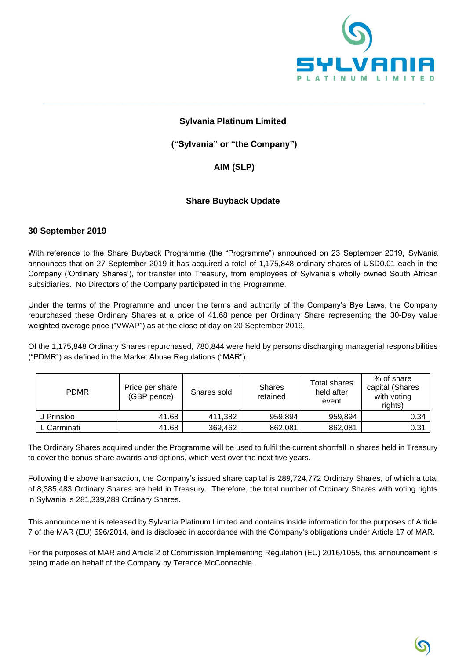

### **Sylvania Platinum Limited**

**\_\_\_\_\_\_\_\_\_\_\_\_\_\_\_\_\_\_\_\_\_\_\_\_\_\_\_\_\_\_\_\_\_\_\_\_\_\_\_\_\_\_\_\_\_\_\_\_\_\_\_\_\_\_\_\_\_\_\_\_\_\_\_\_\_\_\_\_\_\_\_\_\_\_\_\_\_\_\_\_\_\_\_\_\_\_\_\_\_\_\_\_\_\_\_\_\_\_\_\_\_\_\_\_\_\_\_\_\_\_\_\_\_\_\_\_\_\_\_\_\_\_\_\_\_**

**("Sylvania" or "the Company")**

## **AIM (SLP)**

## **Share Buyback Update**

#### **30 September 2019**

With reference to the Share Buyback Programme (the "Programme") announced on 23 September 2019, Sylvania announces that on 27 September 2019 it has acquired a total of 1,175,848 ordinary shares of USD0.01 each in the Company ('Ordinary Shares'), for transfer into Treasury, from employees of Sylvania's wholly owned South African subsidiaries. No Directors of the Company participated in the Programme.

Under the terms of the Programme and under the terms and authority of the Company's Bye Laws, the Company repurchased these Ordinary Shares at a price of 41.68 pence per Ordinary Share representing the 30-Day value weighted average price ("VWAP") as at the close of day on 20 September 2019.

Of the 1,175,848 Ordinary Shares repurchased, 780,844 were held by persons discharging managerial responsibilities ("PDMR") as defined in the Market Abuse Regulations ("MAR").

| <b>PDMR</b> | Price per share<br>(GBP pence) | Shares sold | <b>Shares</b><br>retained | Total shares<br>held after<br>event | % of share<br>capital (Shares<br>with voting<br>rights) |
|-------------|--------------------------------|-------------|---------------------------|-------------------------------------|---------------------------------------------------------|
| J Prinsloo  | 41.68                          | 411.382     | 959.894                   | 959.894                             | 0.34                                                    |
| L Carminati | 41.68                          | 369,462     | 862,081                   | 862,081                             | 0.31                                                    |

The Ordinary Shares acquired under the Programme will be used to fulfil the current shortfall in shares held in Treasury to cover the bonus share awards and options, which vest over the next five years.

Following the above transaction, the Company's issued share capital is 289,724,772 Ordinary Shares, of which a total of 8,385,483 Ordinary Shares are held in Treasury. Therefore, the total number of Ordinary Shares with voting rights in Sylvania is 281,339,289 Ordinary Shares.

This announcement is released by Sylvania Platinum Limited and contains inside information for the purposes of Article 7 of the MAR (EU) 596/2014, and is disclosed in accordance with the Company's obligations under Article 17 of MAR.

For the purposes of MAR and Article 2 of Commission Implementing Regulation (EU) 2016/1055, this announcement is being made on behalf of the Company by Terence McConnachie.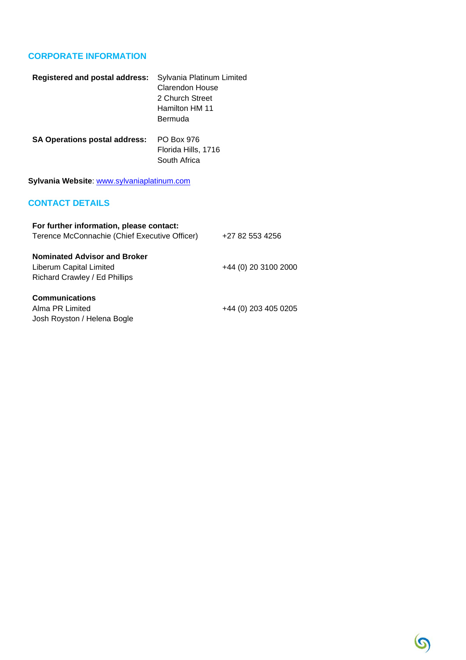## **CORPORATE INFORMATION**

| <b>Registered and postal address:</b> | Sylvania Platinum Limited<br>Clarendon House |
|---------------------------------------|----------------------------------------------|
|                                       | 2 Church Street                              |
|                                       | Hamilton HM 11                               |
|                                       | Bermuda                                      |
| <b>SA Operations postal address:</b>  | PO Box 976                                   |
|                                       | Florida Hills, 1716                          |
|                                       | South Africa                                 |

**Sylvania Website**: [www.sylvaniaplatinum.com](http://www.sylvaniaplatinum.com/)

# **CONTACT DETAILS**

| For further information, please contact:<br>Terence McConnachie (Chief Executive Officer)       | +27 82 553 4256      |
|-------------------------------------------------------------------------------------------------|----------------------|
| <b>Nominated Advisor and Broker</b><br>Liberum Capital Limited<br>Richard Crawley / Ed Phillips | +44 (0) 20 3100 2000 |
| <b>Communications</b><br>Alma PR Limited<br>Josh Royston / Helena Bogle                         | +44 (0) 203 405 0205 |

 $\odot$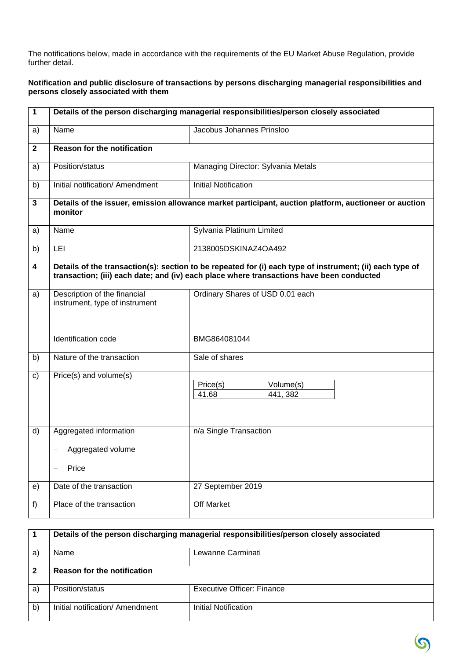The notifications below, made in accordance with the requirements of the EU Market Abuse Regulation, provide further detail.

#### **Notification and public disclosure of transactions by persons discharging managerial responsibilities and persons closely associated with them**

| $\mathbf{1}$ | Details of the person discharging managerial responsibilities/person closely associated                                                                                                              |                                            |  |
|--------------|------------------------------------------------------------------------------------------------------------------------------------------------------------------------------------------------------|--------------------------------------------|--|
| a)           | Name                                                                                                                                                                                                 | Jacobus Johannes Prinsloo                  |  |
| $\mathbf{2}$ | <b>Reason for the notification</b>                                                                                                                                                                   |                                            |  |
| a)           | Position/status                                                                                                                                                                                      | Managing Director: Sylvania Metals         |  |
| b)           | Initial notification/ Amendment                                                                                                                                                                      | <b>Initial Notification</b>                |  |
| $\mathbf{3}$ | Details of the issuer, emission allowance market participant, auction platform, auctioneer or auction<br>monitor                                                                                     |                                            |  |
| a)           | Name                                                                                                                                                                                                 | Sylvania Platinum Limited                  |  |
| b)           | LEI                                                                                                                                                                                                  | 2138005DSKINAZ4OA492                       |  |
| 4            | Details of the transaction(s): section to be repeated for (i) each type of instrument; (ii) each type of<br>transaction; (iii) each date; and (iv) each place where transactions have been conducted |                                            |  |
| a)           | Description of the financial<br>instrument, type of instrument                                                                                                                                       | Ordinary Shares of USD 0.01 each           |  |
|              | Identification code                                                                                                                                                                                  | BMG864081044                               |  |
| b)           | Nature of the transaction                                                                                                                                                                            | Sale of shares                             |  |
| C)           | Price(s) and volume(s)                                                                                                                                                                               | Volume(s)<br>Price(s)<br>441, 382<br>41.68 |  |
| d)           | Aggregated information                                                                                                                                                                               | n/a Single Transaction                     |  |
|              | Aggregated volume                                                                                                                                                                                    |                                            |  |
|              | Price                                                                                                                                                                                                |                                            |  |
| e)           | Date of the transaction                                                                                                                                                                              | 27 September 2019                          |  |
| f)           | Place of the transaction                                                                                                                                                                             | Off Market                                 |  |

|    | Details of the person discharging managerial responsibilities/person closely associated |                            |
|----|-----------------------------------------------------------------------------------------|----------------------------|
| a  | <b>Name</b>                                                                             | Lewanne Carminati          |
|    | <b>Reason for the notification</b>                                                      |                            |
| a) | Position/status                                                                         | Executive Officer: Finance |
| b) | Initial notification/ Amendment                                                         | Initial Notification       |